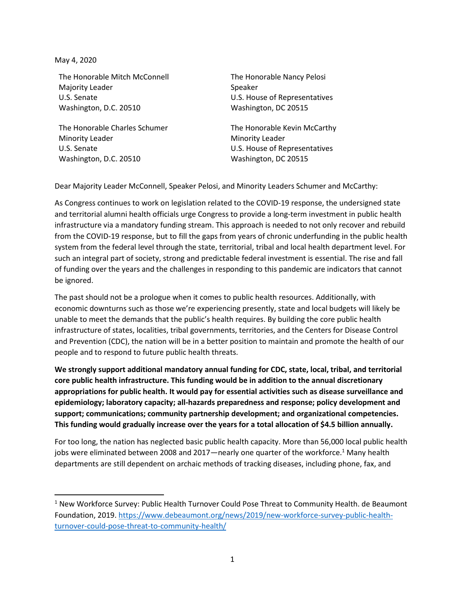May 4, 2020

The Honorable Mitch McConnell Majority Leader U.S. Senate Washington, D.C. 20510

The Honorable Charles Schumer Minority Leader U.S. Senate Washington, D.C. 20510

The Honorable Nancy Pelosi Speaker U.S. House of Representatives Washington, DC 20515

The Honorable Kevin McCarthy Minority Leader U.S. House of Representatives Washington, DC 20515

Dear Majority Leader McConnell, Speaker Pelosi, and Minority Leaders Schumer and McCarthy:

As Congress continues to work on legislation related to the COVID-19 response, the undersigned state and territorial alumni health officials urge Congress to provide a long-term investment in public health infrastructure via a mandatory funding stream. This approach is needed to not only recover and rebuild from the COVID-19 response, but to fill the gaps from years of chronic underfunding in the public health system from the federal level through the state, territorial, tribal and local health department level. For such an integral part of society, strong and predictable federal investment is essential. The rise and fall of funding over the years and the challenges in responding to this pandemic are indicators that cannot be ignored.

The past should not be a prologue when it comes to public health resources. Additionally, with economic downturns such as those we're experiencing presently, state and local budgets will likely be unable to meet the demands that the public's health requires. By building the core public health infrastructure of states, localities, tribal governments, territories, and the Centers for Disease Control and Prevention (CDC), the nation will be in a better position to maintain and promote the health of our people and to respond to future public health threats.

**We strongly support additional mandatory annual funding for CDC, state, local, tribal, and territorial core public health infrastructure. This funding would be in addition to the annual discretionary appropriations for public health. It would pay for essential activities such as disease surveillance and epidemiology; laboratory capacity; all-hazards preparedness and response; policy development and support; communications; community partnership development; and organizational competencies. This funding would gradually increase over the years for a total allocation of \$4.5 billion annually.**

For too long, the nation has neglected basic public health capacity. More than 56,000 local public health jobs were eliminated between 2008 and 2017—nearly one quarter of the workforce.<sup>1</sup> Many health departments are still dependent on archaic methods of tracking diseases, including phone, fax, and

<sup>&</sup>lt;sup>1</sup> New Workforce Survey: Public Health Turnover Could Pose Threat to Community Health. de Beaumont Foundation, 2019. [https://www.debeaumont.org/news/2019/new-workforce-survey-public-health](https://www.debeaumont.org/news/2019/new-workforce-survey-public-health-turnover-could-pose-threat-to-community-health/)[turnover-could-pose-threat-to-community-health/](https://www.debeaumont.org/news/2019/new-workforce-survey-public-health-turnover-could-pose-threat-to-community-health/)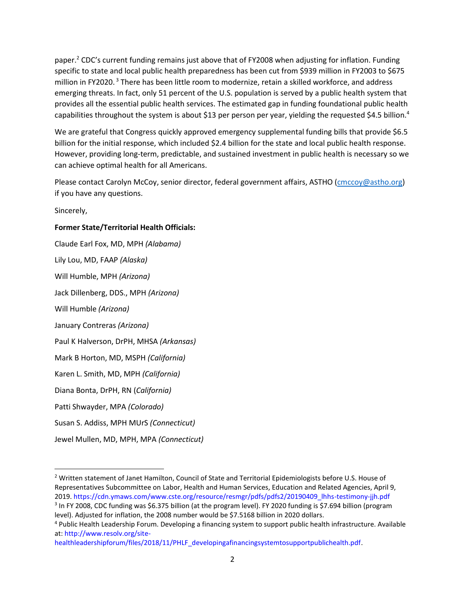paper.<sup>2</sup> CDC's current funding remains just above that of FY2008 when adjusting for inflation. Funding specific to state and local public health preparedness has been cut from \$939 million in FY2003 to \$675 million in FY2020. <sup>3</sup> There has been little room to modernize, retain a skilled workforce, and address emerging threats. In fact, only 51 percent of the U.S. population is served by a public health system that provides all the essential public health services. The estimated gap in funding foundational public health capabilities throughout the system is about \$13 per person per year, yielding the requested \$4.5 billion.<sup>4</sup>

We are grateful that Congress quickly approved emergency supplemental funding bills that provide \$6.5 billion for the initial response, which included \$2.4 billion for the state and local public health response. However, providing long-term, predictable, and sustained investment in public health is necessary so we can achieve optimal health for all Americans.

Please contact Carolyn McCoy, senior director, federal government affairs, ASTHO [\(cmccoy@astho.org\)](mailto:cmccoy@astho.org) if you have any questions.

Sincerely,

## **Former State/Territorial Health Officials:**

Claude Earl Fox, MD, MPH *(Alabama)* Lily Lou, MD, FAAP *(Alaska)* Will Humble, MPH *(Arizona)* Jack Dillenberg, DDS., MPH *(Arizona)* Will Humble *(Arizona)* January Contreras *(Arizona)* Paul K Halverson, DrPH, MHSA *(Arkansas)* Mark B Horton, MD, MSPH *(California)* Karen L. Smith, MD, MPH *(California)* Diana Bonta, DrPH, RN (*California)* Patti Shwayder, MPA *(Colorado)* Susan S. Addiss, MPH MUrS *(Connecticut)* Jewel Mullen, MD, MPH, MPA *(Connecticut)*

<sup>&</sup>lt;sup>2</sup> Written statement of Janet Hamilton, Council of State and Territorial Epidemiologists before U.S. House of Representatives Subcommittee on Labor, Health and Human Services, Education and Related Agencies, April 9, 2019. https://cdn.ymaws.com/www.cste.org/resource/resmgr/pdfs/pdfs2/20190409\_lhhs-testimony-jjh.pdf

<sup>&</sup>lt;sup>3</sup> In FY 2008, CDC funding was \$6.375 billion (at the program level). FY 2020 funding is \$7.694 billion (program level). Adjusted for inflation, the 2008 number would be \$7.5168 billion in 2020 dollars.

<sup>4</sup> Public Health Leadership Forum. Developing a financing system to support public health infrastructure. Available at: http://www.resolv.org/site-

healthleadershipforum/files/2018/11/PHLF\_developingafinancingsystemtosupportpublichealth.pdf.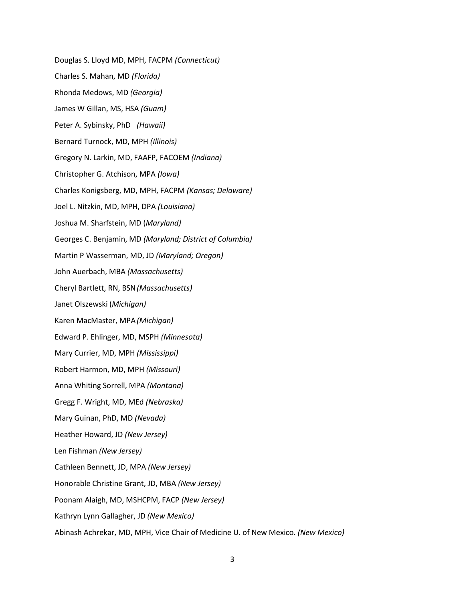Douglas S. Lloyd MD, MPH, FACPM *(Connecticut)* Charles S. Mahan, MD *(Florida)* Rhonda Medows, MD *(Georgia)* James W Gillan, MS, HSA *(Guam)* Peter A. Sybinsky, PhD *(Hawaii)* Bernard Turnock, MD, MPH *(Illinois)* Gregory N. Larkin, MD, FAAFP, FACOEM *(Indiana)* Christopher G. Atchison, MPA *(Iowa)* Charles Konigsberg, MD, MPH, FACPM *(Kansas; Delaware)* Joel L. Nitzkin, MD, MPH, DPA *(Louisiana)* Joshua M. Sharfstein, MD (*Maryland)* Georges C. Benjamin, MD *(Maryland; District of Columbia)* Martin P Wasserman, MD, JD *(Maryland; Oregon)* John Auerbach, MBA *(Massachusetts)* Cheryl Bartlett, RN, BSN*(Massachusetts)* Janet Olszewski (*Michigan)* Karen MacMaster, MPA*(Michigan)* Edward P. Ehlinger, MD, MSPH *(Minnesota)* Mary Currier, MD, MPH *(Mississippi)* Robert Harmon, MD, MPH *(Missouri)* Anna Whiting Sorrell, MPA *(Montana)* Gregg F. Wright, MD, MEd *(Nebraska)* Mary Guinan, PhD, MD *(Nevada)* Heather Howard, JD *(New Jersey)* Len Fishman *(New Jersey)* Cathleen Bennett, JD, MPA *(New Jersey)* Honorable Christine Grant, JD, MBA *(New Jersey)* Poonam Alaigh, MD, MSHCPM, FACP *(New Jersey)* Kathryn Lynn Gallagher, JD *(New Mexico)* Abinash Achrekar, MD, MPH, Vice Chair of Medicine U. of New Mexico. *(New Mexico)*